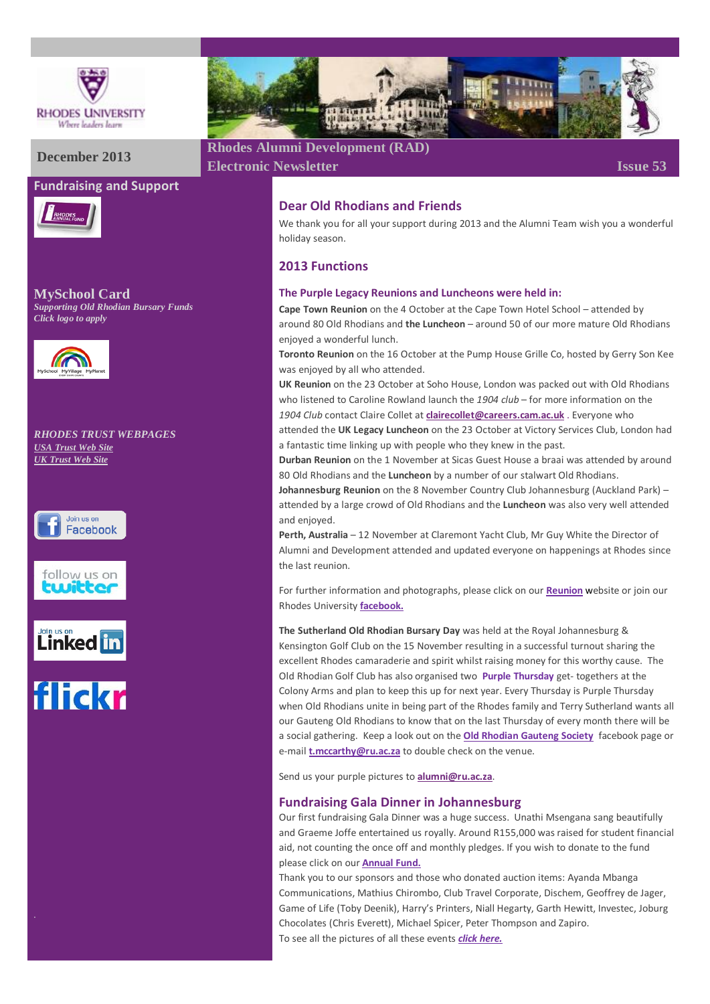

#### **Fundraising and Support**



**MySchool Card** *Supporting Old Rhodian Bursary Funds Click logo to apply*



#### *RHODES TRUST WEBPAGES [USA Trust Web Site](http://www.rhodesalumni.com/) [UK Trust Web Site](http://www.rhodesalumni.co.uk/)*











# **December 2013 Rhodes Alumni Development (RAD)**

**Electronic Newsletter Issue 53** 

# **Dear Old Rhodians and Friends**

We thank you for all your support during 2013 and the Alumni Team wish you a wonderful holiday season.

# **2013 Functions**

#### **The Purple Legacy Reunions and Luncheons were held in:**

**Cape Town Reunion** on the 4 October at the Cape Town Hotel School – attended by around 80 Old Rhodians and **the Luncheon** – around 50 of our more mature Old Rhodians enjoyed a wonderful lunch.

**Toronto Reunion** on the 16 October at the Pump House Grille Co, hosted by Gerry Son Kee was enjoyed by all who attended.

**UK Reunion** on the 23 October at Soho House, London was packed out with Old Rhodians who listened to Caroline Rowland launch the *1904 club* – for more information on the *1904 Club* contact Claire Collet at **[clairecollet@careers.cam.ac.uk](mailto:clairecollet@careers.cam.ac.uk)** . Everyone who

attended the **UK Legacy Luncheon** on the 23 October at Victory Services Club, London had a fantastic time linking up with people who they knew in the past.

**Durban Reunion** on the 1 November at Sicas Guest House a braai was attended by around 80 Old Rhodians and the **Luncheon** by a number of our stalwart Old Rhodians.

**Johannesburg Reunion** on the 8 November Country Club Johannesburg (Auckland Park) – attended by a large crowd of Old Rhodians and the **Luncheon** was also very well attended and enjoyed.

**Perth, Australia** – 12 November at Claremont Yacht Club, Mr Guy White the Director of Alumni and Development attended and updated everyone on happenings at Rhodes since the last reunion.

For further information and photographs, please click on our **[Reunion](http://www.ru.ac.za/alumni/events/reunions/reunions2013/)** website or join our Rhodes University **[facebook.](https://www.facebook.com/rhodesuniversity)**

**The Sutherland Old Rhodian Bursary Day** was held at the Royal Johannesburg & Kensington Golf Club on the 15 November resulting in a successful turnout sharing the excellent Rhodes camaraderie and spirit whilst raising money for this worthy cause. The Old Rhodian Golf Club has also organised two **Purple Thursday** get- togethers at the Colony Arms and plan to keep this up for next year. Every Thursday is Purple Thursday when Old Rhodians unite in being part of the Rhodes family and Terry Sutherland wants all our Gauteng Old Rhodians to know that on the last Thursday of every month there will be a social gathering. Keep a look out on the **[Old Rhodian Gauteng Society](https://www.facebook.com/OldRhodianGautengSociety)** facebook page or e-mail **[t.mccarthy@ru.ac.za](mailto:t.mccarthy@ru.ac.za)** to double check on the venue.

Send us your purple pictures to **[alumni@ru.ac.za](mailto:alumni@ru.ac.za)**.

#### **Fundraising Gala Dinner in Johannesburg**

Our first fundraising Gala Dinner was a huge success. Unathi Msengana sang beautifully and Graeme Joffe entertained us royally. Around R155,000 was raised for student financial aid, not counting the once off and monthly pledges. If you wish to donate to the fund please click on our **[Annual Fund.](https://www.ru.ac.za/alumnigiving/)**

Thank you to our sponsors and those who donated auction items: Ayanda Mbanga Communications, Mathius Chirombo, Club Travel Corporate, Dischem, Geoffrey de Jager, Game of Life (Toby Deenik), Harry's Printers, Niall Hegarty, Garth Hewitt, Investec, Joburg Chocolates (Chris Everett), Michael Spicer, Peter Thompson and Zapiro. To see all the pictures of all these events *[click here.](http://gallery.ru.ac.za/v/ALUMNI_001/)*